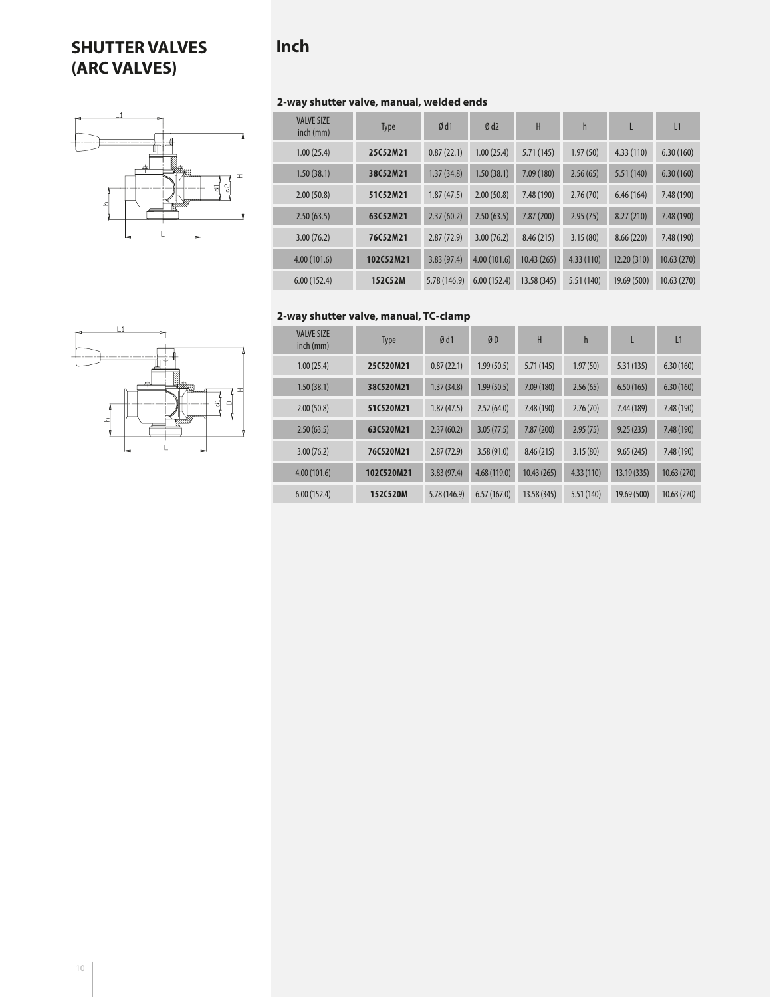# **SHUTTER VALVES (ARC VALVES)**

# **Inch**



| 1 |   |        |
|---|---|--------|
| ی | ∼ | ⊐<br>ഡ |

| <b>VALVE SIZE</b><br>inch (mm) | <b>Type</b> | Ød1          | Ød2         | H           | $\mathsf{h}$ | L           | L1         |
|--------------------------------|-------------|--------------|-------------|-------------|--------------|-------------|------------|
| 1.00(25.4)                     | 25C52M21    | 0.87(22.1)   | 1.00(25.4)  | 5.71(145)   | 1.97(50)     | 4.33(110)   | 6.30(160)  |
| 1.50(38.1)                     | 38C52M21    | 1.37(34.8)   | 1.50(38.1)  | 7.09(180)   | 2.56(65)     | 5.51(140)   | 6.30(160)  |
| 2.00(50.8)                     | 51C52M21    | 1.87(47.5)   | 2.00(50.8)  | 7.48 (190)  | 2.76(70)     | 6.46(164)   | 7.48 (190) |
| 2.50(63.5)                     | 63C52M21    | 2.37(60.2)   | 2.50(63.5)  | 7.87(200)   | 2.95(75)     | 8.27(210)   | 7.48(190)  |
| 3.00(76.2)                     | 76C52M21    | 2.87(72.9)   | 3.00(76.2)  | 8.46 (215)  | 3.15(80)     | 8.66(220)   | 7.48 (190) |
| 4.00(101.6)                    | 102C52M21   | 3.83(97.4)   | 4.00(101.6) | 10.43(265)  | 4.33(110)    | 12.20 (310) | 10.63(270) |
| 6.00(152.4)                    | 152C52M     | 5.78 (146.9) | 6.00(152.4) | 13.58 (345) | 5.51(140)    | 19.69 (500) | 10.63(270) |

## **2-way shutter valve, manual, TC-clamp**



| <b>VALVE SIZE</b><br>$inch$ (mm) | <b>Type</b> | Ød1          | ØD          | Н           | $\mathsf{h}$ |             | L1         |
|----------------------------------|-------------|--------------|-------------|-------------|--------------|-------------|------------|
| 1.00(25.4)                       | 25C520M21   | 0.87(22.1)   | 1.99(50.5)  | 5.71(145)   | 1.97(50)     | 5.31(135)   | 6.30(160)  |
| 1.50(38.1)                       | 38C520M21   | 1.37(34.8)   | 1.99(50.5)  | 7.09(180)   | 2.56(65)     | 6.50(165)   | 6.30(160)  |
| 2.00(50.8)                       | 51C520M21   | 1.87(47.5)   | 2.52(64.0)  | 7.48 (190)  | 2.76(70)     | 7.44(189)   | 7.48 (190) |
| 2.50(63.5)                       | 63C520M21   | 2.37(60.2)   | 3.05(77.5)  | 7.87 (200)  | 2.95(75)     | 9.25(235)   | 7.48(190)  |
| 3.00(76.2)                       | 76C520M21   | 2.87(72.9)   | 3.58(91.0)  | 8.46(215)   | 3.15(80)     | 9.65(245)   | 7.48 (190) |
| 4.00(101.6)                      | 102C520M21  | 3.83(97.4)   | 4.68(119.0) | 10.43(265)  | 4.33(110)    | 13.19(335)  | 10.63(270) |
| 6.00(152.4)                      | 152C520M    | 5.78 (146.9) | 6.57(167.0) | 13.58 (345) | 5.51(140)    | 19.69 (500) | 10.63(270) |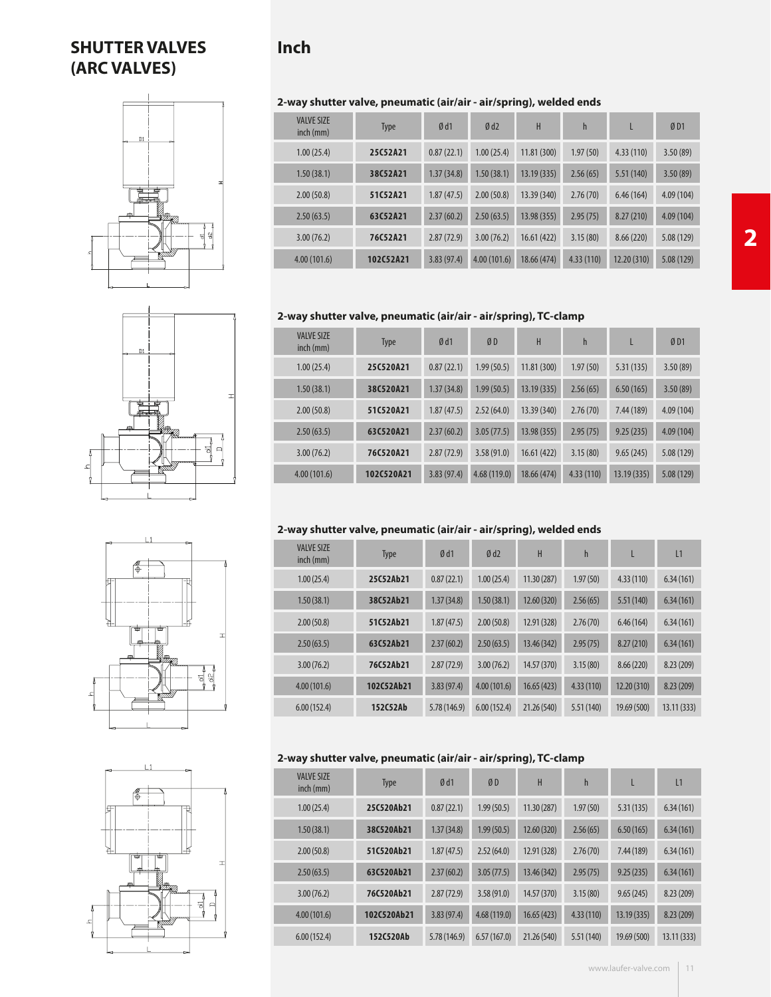## **Inch**

## **2-way shutter valve, pneumatic (air/air - air/spring), welded ends**

| <b>VALVE SIZE</b><br>$inch$ (mm) | <b>Type</b> | Ød1        | Ød2         | H           | h         | L          | ØD1       |
|----------------------------------|-------------|------------|-------------|-------------|-----------|------------|-----------|
| 1.00(25.4)                       | 25C52A21    | 0.87(22.1) | 1.00(25.4)  | 11.81(300)  | 1.97(50)  | 4.33(110)  | 3.50(89)  |
| 1.50(38.1)                       | 38C52A21    | 1.37(34.8) | 1.50(38.1)  | 13.19(335)  | 2.56(65)  | 5.51(140)  | 3.50(89)  |
| 2.00(50.8)                       | 51C52A21    | 1.87(47.5) | 2.00(50.8)  | 13.39 (340) | 2.76(70)  | 6.46(164)  | 4.09(104) |
| 2.50(63.5)                       | 63C52A21    | 2.37(60.2) | 2.50(63.5)  | 13.98 (355) | 2.95(75)  | 8.27(210)  | 4.09(104) |
| 3.00(76.2)                       | 76C52A21    | 2.87(72.9) | 3.00(76.2)  | 16.61(422)  | 3.15(80)  | 8.66(220)  | 5.08(129) |
| 4.00(101.6)                      | 102C52A21   | 3.83(97.4) | 4.00(101.6) | 18.66 (474) | 4.33(110) | 12.20(310) | 5.08(129) |

#### **2-way shutter valve, pneumatic (air/air - air/spring), TC-clamp**

| <b>VALVE SIZE</b><br>$inch$ (mm) | <b>Type</b> | Ød1        | ØD          | H           | $\mathsf{h}$ |             | ØD1       |
|----------------------------------|-------------|------------|-------------|-------------|--------------|-------------|-----------|
| 1.00(25.4)                       | 25C520A21   | 0.87(22.1) | 1.99(50.5)  | 11.81 (300) | 1.97(50)     | 5.31(135)   | 3.50(89)  |
| 1.50(38.1)                       | 38C520A21   | 1.37(34.8) | 1.99(50.5)  | 13.19(335)  | 2.56(65)     | 6.50(165)   | 3.50(89)  |
| 2.00(50.8)                       | 51C520A21   | 1.87(47.5) | 2.52(64.0)  | 13.39 (340) | 2.76(70)     | 7.44(189)   | 4.09(104) |
| 2.50(63.5)                       | 63C520A21   | 2.37(60.2) | 3.05(77.5)  | 13.98(355)  | 2.95(75)     | 9.25(235)   | 4.09(104) |
| 3.00(76.2)                       | 76C520A21   | 2.87(72.9) | 3.58(91.0)  | 16.61(422)  | 3.15(80)     | 9.65(245)   | 5.08(129) |
| 4.00(101.6)                      | 102C520A21  | 3.83(97.4) | 4.68(119.0) | 18.66 (474) | 4.33(110)    | 13.19 (335) | 5.08(129) |

## **2-way shutter valve, pneumatic (air/air - air/spring), welded ends**

| <b>VALVE SIZE</b><br>$inch$ (mm) | <b>Type</b> | Ød1          | Ød2         | H           | h         | L           | L1         |
|----------------------------------|-------------|--------------|-------------|-------------|-----------|-------------|------------|
| 1.00(25.4)                       | 25C52Ab21   | 0.87(22.1)   | 1.00(25.4)  | 11.30 (287) | 1.97(50)  | 4.33(110)   | 6.34(161)  |
| 1.50(38.1)                       | 38C52Ab21   | 1.37(34.8)   | 1.50(38.1)  | 12.60 (320) | 2.56(65)  | 5.51(140)   | 6.34(161)  |
| 2.00(50.8)                       | 51C52Ab21   | 1.87(47.5)   | 2.00(50.8)  | 12.91 (328) | 2.76(70)  | 6.46(164)   | 6.34(161)  |
| 2.50(63.5)                       | 63C52Ab21   | 2.37(60.2)   | 2.50(63.5)  | 13.46 (342) | 2.95(75)  | 8.27(210)   | 6.34(161)  |
| 3.00(76.2)                       | 76C52Ab21   | 2.87(72.9)   | 3.00(76.2)  | 14.57 (370) | 3.15(80)  | 8.66(220)   | 8.23(209)  |
| 4.00(101.6)                      | 102C52Ab21  | 3.83(97.4)   | 4.00(101.6) | 16.65(423)  | 4.33(110) | 12.20 (310) | 8.23(209)  |
| 6.00(152.4)                      | 152C52Ab    | 5.78 (146.9) | 6.00(152.4) | 21.26 (540) | 5.51(140) | 19.69 (500) | 13.11(333) |

## **2-way shutter valve, pneumatic (air/air - air/spring), TC-clamp**

| <b>VALVE SIZE</b><br>inch (mm) | <b>Type</b> | Ød1         | ØD          | H           | $\mathsf{h}$ | L           | L1         |
|--------------------------------|-------------|-------------|-------------|-------------|--------------|-------------|------------|
| 1.00(25.4)                     | 25C520Ab21  | 0.87(22.1)  | 1.99(50.5)  | 11.30(287)  | 1.97(50)     | 5.31(135)   | 6.34(161)  |
| 1.50(38.1)                     | 38C520Ab21  | 1.37(34.8)  | 1.99(50.5)  | 12.60 (320) | 2.56(65)     | 6.50(165)   | 6.34(161)  |
| 2.00(50.8)                     | 51C520Ab21  | 1.87(47.5)  | 2.52(64.0)  | 12.91 (328) | 2.76(70)     | 7.44 (189)  | 6.34(161)  |
| 2.50(63.5)                     | 63C520Ab21  | 2.37(60.2)  | 3.05(77.5)  | 13.46 (342) | 2.95(75)     | 9.25(235)   | 6.34(161)  |
| 3.00(76.2)                     | 76C520Ab21  | 2.87(72.9)  | 3.58(91.0)  | 14.57 (370) | 3.15(80)     | 9.65(245)   | 8.23 (209) |
| 4.00(101.6)                    | 102C520Ab21 | 3.83(97.4)  | 4.68(119.0) | 16.65(423)  | 4.33(110)    | 13.19(335)  | 8.23(209)  |
| 6.00(152.4)                    | 152C520Ab   | 5.78(146.9) | 6.57(167.0) | 21.26 (540) | 5.51(140)    | 19.69 (500) | 13.11(333) |
|                                |             |             |             |             |              |             |            |



**SHUTTER VALVES**

**(ARC VALVES)**



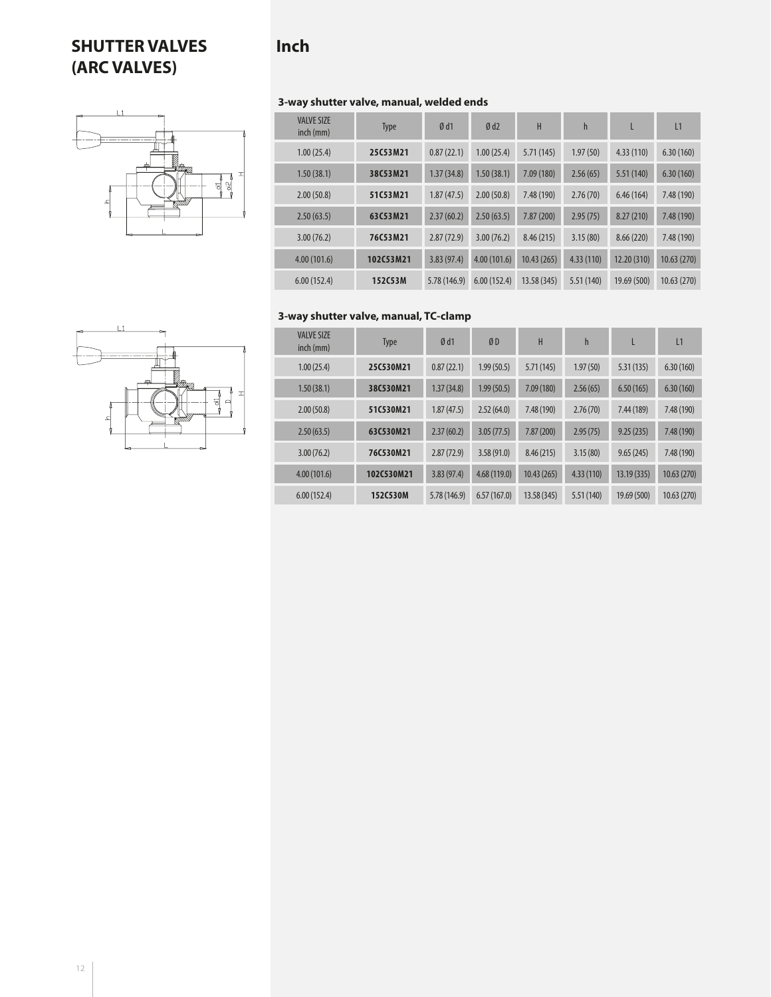# **SHUTTER VALVES (ARC VALVES)**

# **Inch**

<u> 직</u> 영



| <b>VALVE SIZE</b><br>$inch$ (mm) | <b>Type</b> | Ød1         | Ød2         | H           | $\mathsf{h}$ | L           | L1         |
|----------------------------------|-------------|-------------|-------------|-------------|--------------|-------------|------------|
| 1.00(25.4)                       | 25C53M21    | 0.87(22.1)  | 1.00(25.4)  | 5.71(145)   | 1.97(50)     | 4.33(110)   | 6.30(160)  |
| 1.50(38.1)                       | 38C53M21    | 1.37(34.8)  | 1.50(38.1)  | 7.09(180)   | 2.56(65)     | 5.51 (140)  | 6.30(160)  |
| 2.00(50.8)                       | 51C53M21    | 1.87(47.5)  | 2.00(50.8)  | 7.48 (190)  | 2.76(70)     | 6.46(164)   | 7.48 (190) |
| 2.50(63.5)                       | 63C53M21    | 2.37(60.2)  | 2.50(63.5)  | 7.87(200)   | 2.95(75)     | 8.27(210)   | 7.48 (190) |
| 3.00(76.2)                       | 76C53M21    | 2.87(72.9)  | 3.00(76.2)  | 8.46(215)   | 3.15(80)     | 8.66(220)   | 7.48 (190) |
| 4.00(101.6)                      | 102C53M21   | 3.83(97.4)  | 4.00(101.6) | 10.43(265)  | 4.33(110)    | 12.20 (310) | 10.63(270) |
| 6.00(152.4)                      | 152C53M     | 5.78(146.9) | 6.00(152.4) | 13.58 (345) | 5.51(140)    | 19.69 (500) | 10.63(270) |

## **3-way shutter valve, manual, TC-clamp**



| <b>VALVE SIZE</b><br>$inch$ (mm) | <b>Type</b> | Ød1         | ØD          | H          | $\mathsf{h}$ |             | L <sub>1</sub> |
|----------------------------------|-------------|-------------|-------------|------------|--------------|-------------|----------------|
| 1.00(25.4)                       | 25C530M21   | 0.87(22.1)  | 1.99(50.5)  | 5.71(145)  | 1.97(50)     | 5.31(135)   | 6.30(160)      |
| 1.50(38.1)                       | 38C530M21   | 1.37(34.8)  | 1.99(50.5)  | 7.09(180)  | 2.56(65)     | 6.50(165)   | 6.30(160)      |
| 2.00(50.8)                       | 51C530M21   | 1.87(47.5)  | 2.52(64.0)  | 7.48 (190) | 2.76(70)     | 7.44 (189)  | 7.48 (190)     |
| 2.50(63.5)                       | 63C530M21   | 2.37(60.2)  | 3.05(77.5)  | 7.87 (200) | 2.95(75)     | 9.25(235)   | 7.48 (190)     |
| 3.00(76.2)                       | 76C530M21   | 2.87(72.9)  | 3.58(91.0)  | 8.46(215)  | 3.15(80)     | 9.65(245)   | 7.48 (190)     |
| 4.00(101.6)                      | 102C530M21  | 3.83(97.4)  | 4.68(119.0) | 10.43(265) | 4.33(110)    | 13.19(335)  | 10.63(270)     |
| 6.00(152.4)                      | 152C530M    | 5.78(146.9) | 6.57(167.0) | 13.58(345) | 5.51(140)    | 19.69 (500) | 10.63(270)     |